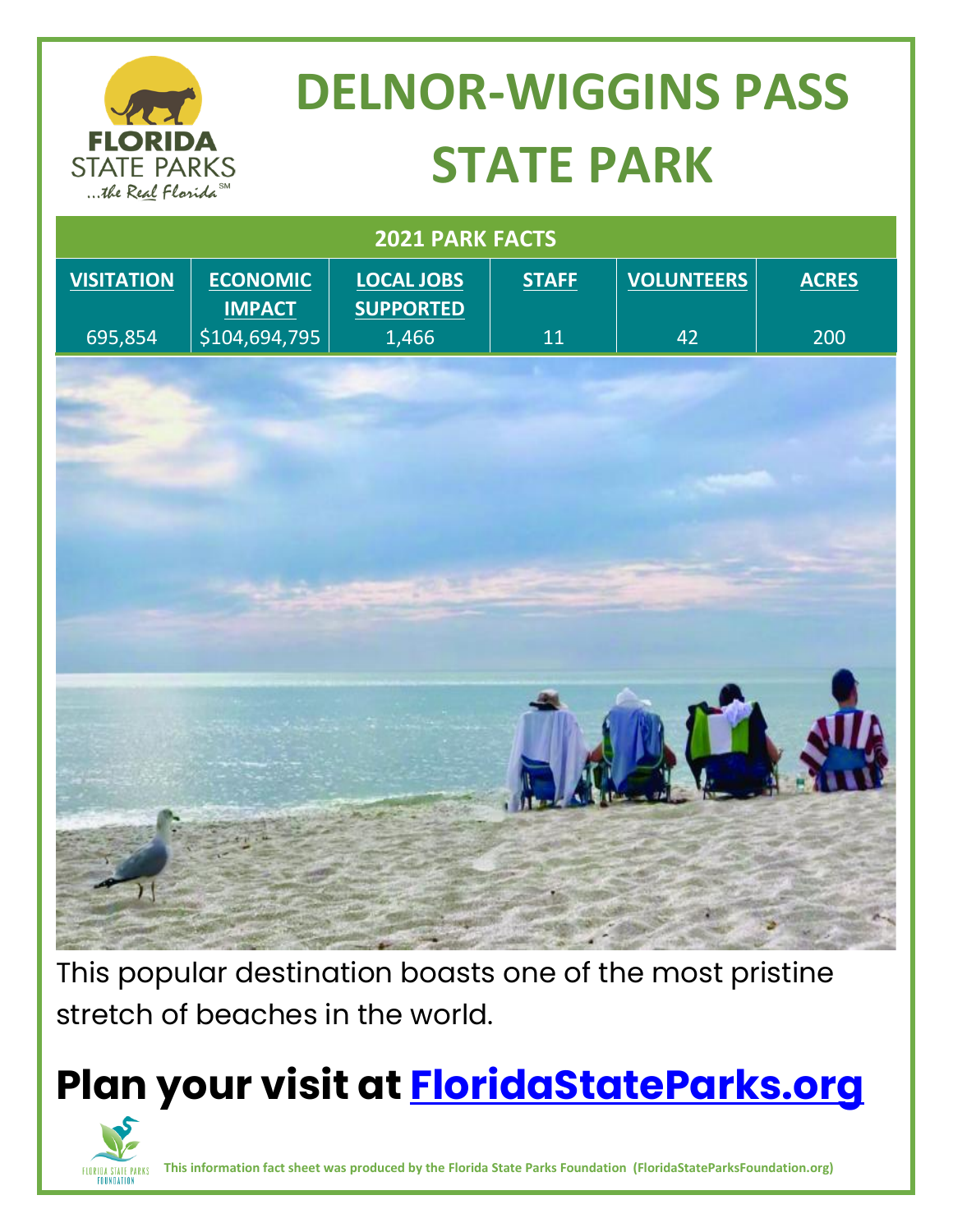

# **DELNOR-WIGGINS PASS STATE PARK**

| 2021 PARK FACTS   |                                  |                                       |              |                   |              |
|-------------------|----------------------------------|---------------------------------------|--------------|-------------------|--------------|
| <b>VISITATION</b> | <b>ECONOMIC</b><br><b>IMPACT</b> | <b>LOCAL JOBS</b><br><b>SUPPORTED</b> | <b>STAFF</b> | <b>VOLUNTEERS</b> | <b>ACRES</b> |
| 695,854           | \$104,694,795                    | 1,466                                 | $11\,$       | 42                | 200          |
|                   |                                  |                                       |              |                   |              |
|                   |                                  |                                       |              |                   |              |
|                   |                                  |                                       |              |                   |              |
|                   |                                  |                                       |              |                   |              |
|                   |                                  |                                       |              |                   |              |
|                   |                                  |                                       |              |                   |              |
|                   |                                  |                                       |              |                   |              |
|                   |                                  |                                       |              |                   |              |
|                   |                                  |                                       |              |                   |              |
|                   |                                  |                                       |              |                   |              |
|                   |                                  |                                       |              |                   |              |
|                   |                                  |                                       |              |                   |              |
|                   |                                  |                                       |              |                   |              |
|                   |                                  |                                       |              |                   |              |
|                   |                                  |                                       |              |                   |              |
|                   |                                  |                                       |              |                   |              |

This popular destination boasts one of the most pristine stretch of beaches in the world.

## **Plan your visit at<FloridaStateParks.org>**



**This information fact sheet was produced by the Florida State Parks Foundation (FloridaStateParksFoundation.org)**